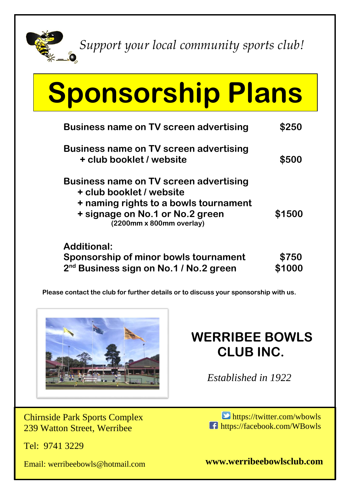

*Support your local community sports club!*

## **Sponsorship Plans**

| <b>Business name on TV screen advertising</b>                                                                                                                                     | <b>\$250</b> |
|-----------------------------------------------------------------------------------------------------------------------------------------------------------------------------------|--------------|
| Business name on TV screen advertising<br>+ club booklet / website                                                                                                                | \$500        |
| <b>Business name on TV screen advertising</b><br>+ club booklet / website<br>+ naming rights to a bowls tournament<br>+ signage on No.1 or No.2 green<br>(2200mm x 800mm overlay) | \$1500       |
| <b>Additional:</b><br>Sponsorship of minor bowls tournament<br>2 <sup>nd</sup> Business sign on No.1 / No.2 green                                                                 | \$750        |

**Please contact the club for further details or to discuss your sponsorship with us.**



## **WERRIBEE BOWLS CLUB INC.**

 *Established in 1922*

Chirnside Park Sports Complex 239 Watton Street, Werribee

Tel: 9741 3229

Email: werribeebowls@hotmail.com

 $\Box$  https://twitter.com/wbowls **f** https://facebook.com/WBowls

**www.werribeebowlsclub.com**